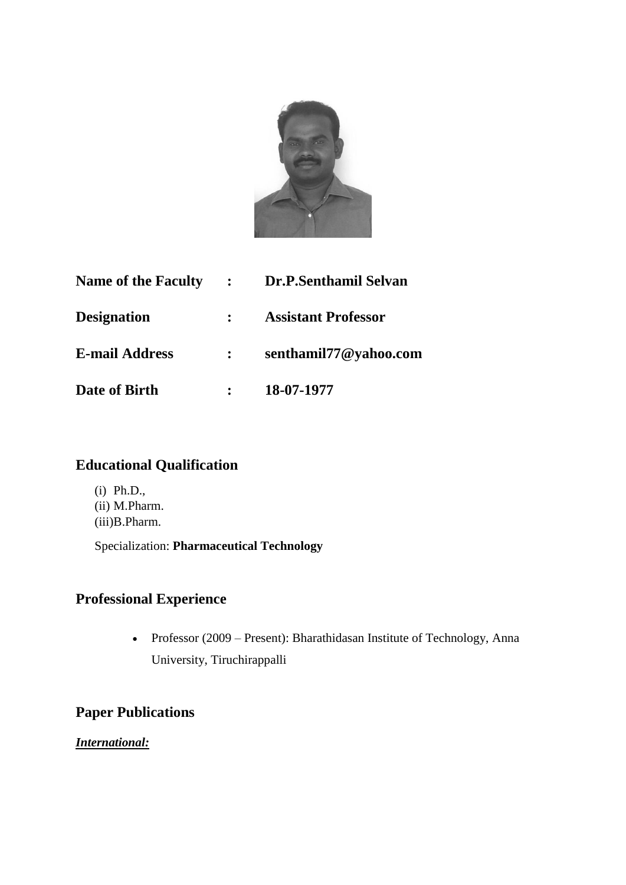

| <b>Name of the Faculty</b> | $\sim 10^{11}$ km s $^{-1}$ | Dr.P.Senthamil Selvan      |
|----------------------------|-----------------------------|----------------------------|
| <b>Designation</b>         | $\mathbf{L}$                | <b>Assistant Professor</b> |
| <b>E-mail Address</b>      |                             | senthamil77@yahoo.com      |
| Date of Birth              |                             | 18-07-1977                 |

### **Educational Qualification**

(i) Ph.D., (ii) M.Pharm. (iii)B.Pharm.

Specialization: **Pharmaceutical Technology**

# **Professional Experience**

• Professor (2009 – Present): Bharathidasan Institute of Technology, Anna University, Tiruchirappalli

## **Paper Publications**

*International:*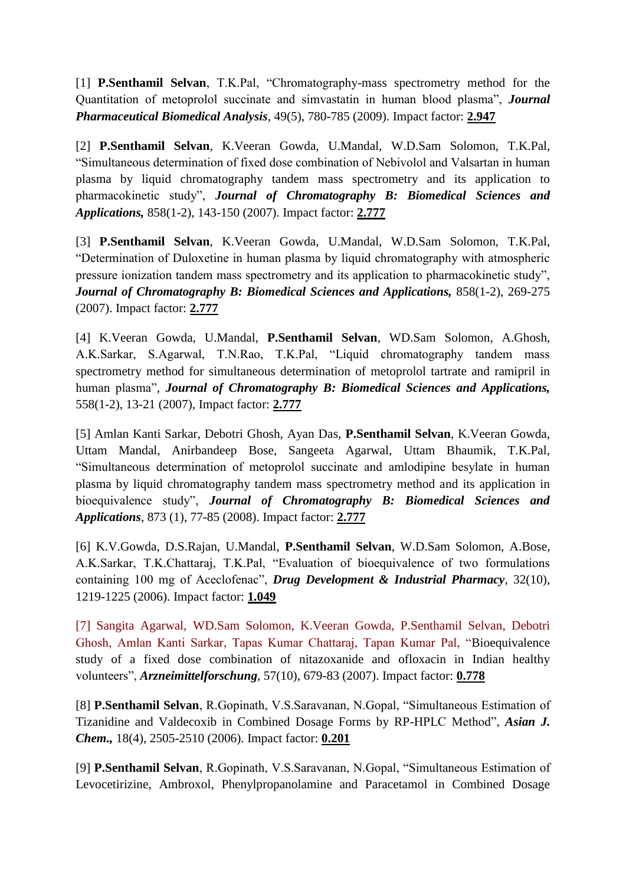[1] **P.Senthamil Selvan**, T.K.Pal, "Chromatography-mass spectrometry method for the Quantitation of metoprolol succinate and simvastatin in human blood plasma", *Journal Pharmaceutical Biomedical Analysis,* 49(5), 780-785 (2009). Impact factor: **2.947**

[2] **P.Senthamil Selvan**, K.Veeran Gowda, U.Mandal, W.D.Sam Solomon, T.K.Pal, "Simultaneous determination of fixed dose combination of Nebivolol and Valsartan in human plasma by liquid chromatography tandem mass spectrometry and its application to pharmacokinetic study", *Journal of Chromatography B: Biomedical Sciences and Applications,* 858(1-2), 143-150 (2007). Impact factor: **2.777**

[3] **P.Senthamil Selvan**, K.Veeran Gowda, U.Mandal, W.D.Sam Solomon, T.K.Pal, "Determination of Duloxetine in human plasma by liquid chromatography with atmospheric pressure ionization tandem mass spectrometry and its application to pharmacokinetic study", *Journal of Chromatography B: Biomedical Sciences and Applications,* 858(1-2), 269-275 (2007). Impact factor: **2.777**

[4] K.Veeran Gowda, U.Mandal, **P.Senthamil Selvan**, WD.Sam Solomon, A.Ghosh, A.K.Sarkar, S.Agarwal, T.N.Rao, T.K.Pal, "Liquid chromatography tandem mass spectrometry method for simultaneous determination of metoprolol tartrate and ramipril in human plasma"*, Journal of Chromatography B: Biomedical Sciences and Applications,*  558(1-2), 13-21 (2007), Impact factor: **2.777**

[5] Amlan Kanti Sarkar, Debotri Ghosh, Ayan Das, **P.Senthamil Selvan**, K.Veeran Gowda, Uttam Mandal, Anirbandeep Bose, Sangeeta Agarwal, Uttam Bhaumik, T.K.Pal, "Simultaneous determination of metoprolol succinate and amlodipine besylate in human plasma by liquid chromatography tandem mass spectrometry method and its application in bioequivalence study", *Journal of Chromatography B: Biomedical Sciences and Applications*, 873 (1), 77-85 (2008). Impact factor: **2.777**

[6] K.V.Gowda, D.S.Rajan, U.Mandal, **P.Senthamil Selvan**, W.D.Sam Solomon, A.Bose, A.K.Sarkar, T.K.Chattaraj, T.K.Pal, "Evaluation of bioequivalence of two formulations containing 100 mg of Aceclofenac", *Drug Development & Industrial Pharmacy*, 32(10), 1219-1225 (2006). Impact factor: **1.049**

[7] Sangita Agarwal, WD.Sam Solomon, K.Veeran Gowda, P.Senthamil Selvan, Debotri Ghosh, Amlan Kanti Sarkar, Tapas Kumar Chattaraj, Tapan Kumar Pal, "Bioequivalence study of a fixed dose combination of nitazoxanide and ofloxacin in Indian healthy volunteers", *Arzneimittelforschung*, 57(10), 679-83 (2007). Impact factor: **0.778**

[8] **P.Senthamil Selvan**, R.Gopinath, V.S.Saravanan, N.Gopal, "Simultaneous Estimation of Tizanidine and Valdecoxib in Combined Dosage Forms by RP-HPLC Method", *Asian J. Chem.,* 18(4), 2505-2510 (2006). Impact factor: **0.201**

[9] **P.Senthamil Selvan**, R.Gopinath, V.S.Saravanan, N.Gopal, "Simultaneous Estimation of Levocetirizine, Ambroxol, Phenylpropanolamine and Paracetamol in Combined Dosage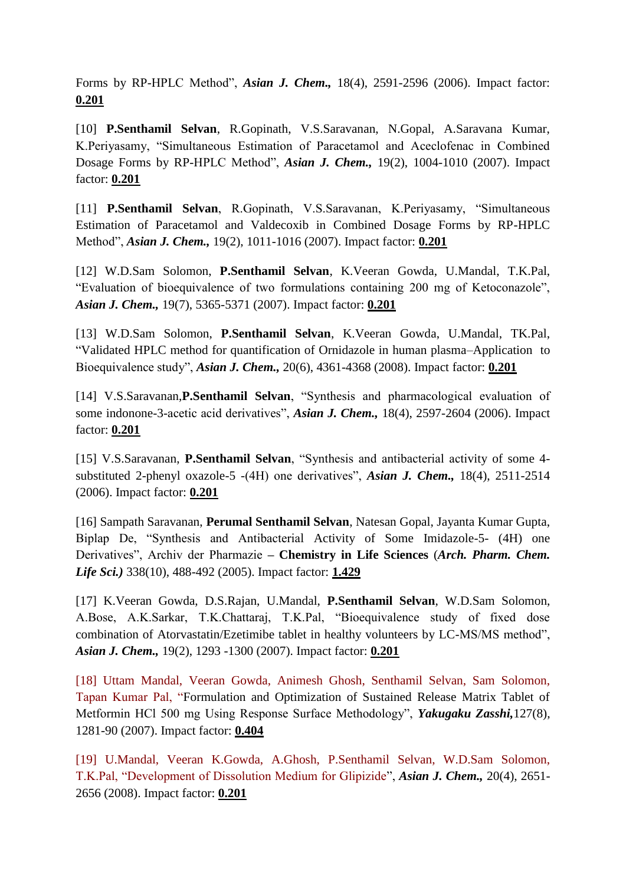Forms by RP-HPLC Method", *Asian J. Chem.,* 18(4), 2591-2596 (2006). Impact factor: **0.201**

[10] **P.Senthamil Selvan**, R.Gopinath, V.S.Saravanan, N.Gopal, A.Saravana Kumar, K.Periyasamy, "Simultaneous Estimation of Paracetamol and Aceclofenac in Combined Dosage Forms by RP-HPLC Method", *Asian J. Chem.,* 19(2), 1004-1010 (2007). Impact factor: **0.201**

[11] **P.Senthamil Selvan**, R.Gopinath, V.S.Saravanan, K.Periyasamy, "Simultaneous Estimation of Paracetamol and Valdecoxib in Combined Dosage Forms by RP-HPLC Method", *Asian J. Chem.,* 19(2), 1011-1016 (2007). Impact factor: **0.201**

[12] W.D.Sam Solomon, **P.Senthamil Selvan**, K.Veeran Gowda, U.Mandal, T.K.Pal, "Evaluation of bioequivalence of two formulations containing 200 mg of Ketoconazole", *Asian J. Chem.,* 19(7), 5365-5371 (2007). Impact factor: **0.201**

[13] W.D.Sam Solomon, **P.Senthamil Selvan**, K.Veeran Gowda, U.Mandal, TK.Pal, "Validated HPLC method for quantification of Ornidazole in human plasma–Application to Bioequivalence study", *Asian J. Chem.,* 20(6), 4361-4368 (2008). Impact factor: **0.201**

[14] V.S.Saravanan,**P.Senthamil Selvan**, "Synthesis and pharmacological evaluation of some indonone-3-acetic acid derivatives", *Asian J. Chem.,* 18(4), 2597-2604 (2006). Impact factor: **0.201**

[15] V.S.Saravanan, **P.Senthamil Selvan**, "Synthesis and antibacterial activity of some 4 substituted 2-phenyl oxazole-5 -(4H) one derivatives", *Asian J. Chem.,* 18(4), 2511-2514 (2006). Impact factor: **0.201**

[16] Sampath Saravanan, **Perumal Senthamil Selvan**, Natesan Gopal, Jayanta Kumar Gupta, Biplap De, "Synthesis and Antibacterial Activity of Some Imidazole-5- (4H) one Derivatives", Archiv der Pharmazie **– Chemistry in Life Sciences** (*Arch. Pharm. Chem. Life Sci.)* 338(10), 488-492 (2005). Impact factor: **1.429**

[17] K.Veeran Gowda, D.S.Rajan, U.Mandal, **P.Senthamil Selvan**, W.D.Sam Solomon, A.Bose, A.K.Sarkar, T.K.Chattaraj, T.K.Pal, "Bioequivalence study of fixed dose combination of Atorvastatin/Ezetimibe tablet in healthy volunteers by LC-MS/MS method", *Asian J. Chem.,* 19(2), 1293 -1300 (2007). Impact factor: **0.201**

[18] Uttam Mandal, Veeran Gowda, Animesh Ghosh, Senthamil Selvan, Sam Solomon, Tapan Kumar Pal, "Formulation and Optimization of Sustained Release Matrix Tablet of Metformin HCl 500 mg Using Response Surface Methodology", *Yakugaku Zasshi,*127(8), 1281-90 (2007). Impact factor: **0.404**

[19] U.Mandal, Veeran K.Gowda, A.Ghosh, P.Senthamil Selvan, W.D.Sam Solomon, T.K.Pal, "Development of Dissolution Medium for Glipizide", *Asian J. Chem.,* 20(4), 2651- 2656 (2008). Impact factor: **0.201**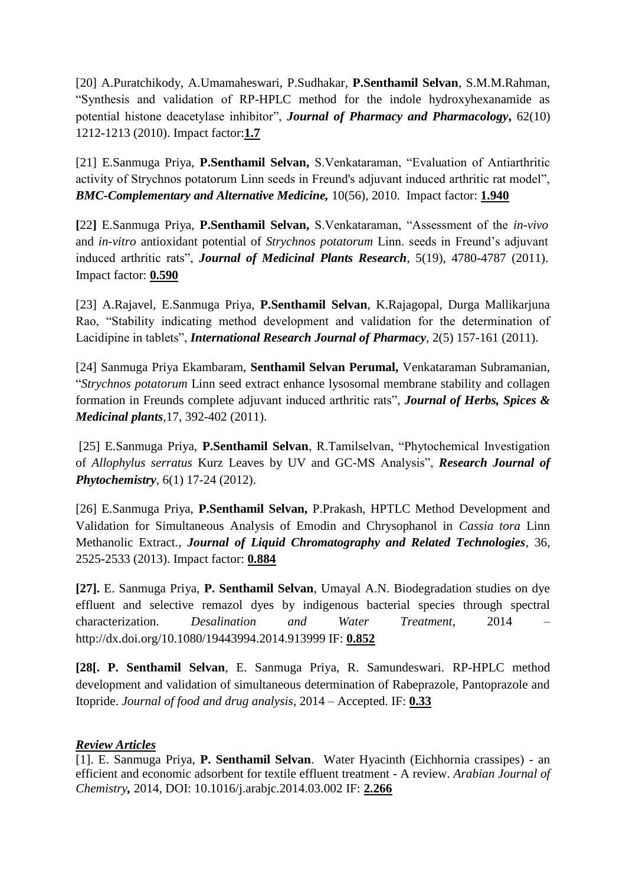[20] A.Puratchikody, A.Umamaheswari, P.Sudhakar, **P.Senthamil Selvan**, S.M.M.Rahman, "Synthesis and validation of RP-HPLC method for the indole hydroxyhexanamide as potential histone deacetylase inhibitor", *Journal of Pharmacy and Pharmacology***,** 62(10) 1212-1213 (2010). Impact factor:**1.7**

[21] E.Sanmuga Priya, **P.Senthamil Selvan,** S.Venkataraman, "Evaluation of Antiarthritic activity of Strychnos potatorum Linn seeds in Freund's adjuvant induced arthritic rat model", *BMC-Complementary and Alternative Medicine,* 10(56), 2010. Impact factor: **1.940**

**[**22**]** E.Sanmuga Priya, **P.Senthamil Selvan,** S.Venkataraman, "Assessment of the *in-vivo* and *in-vitro* antioxidant potential of *Strychnos potatorum* Linn. seeds in Freund's adjuvant induced arthritic rats", *Journal of Medicinal Plants Research*, 5(19), 4780-4787 (2011). Impact factor: **0.590**

[23] A.Rajavel, E.Sanmuga Priya, **P.Senthamil Selvan**, K.Rajagopal, Durga Mallikarjuna Rao, "Stability indicating method development and validation for the determination of Lacidipine in tablets", *International Research Journal of Pharmacy*, 2(5) 157-161 (2011).

[24] Sanmuga Priya Ekambaram, **Senthamil Selvan Perumal,** Venkataraman Subramanian, "*Strychnos potatorum* Linn seed extract enhance lysosomal membrane stability and collagen formation in Freunds complete adjuvant induced arthritic rats", *Journal of Herbs, Spices & Medicinal plants,*17, 392-402 (2011).

[25] E.Sanmuga Priya, **P.Senthamil Selvan**, R.Tamilselvan, "Phytochemical Investigation of *Allophylus serratus* Kurz Leaves by UV and GC-MS Analysis", *Research Journal of Phytochemistry,* 6(1) 17-24 (2012).

[26] E.Sanmuga Priya, **P.Senthamil Selvan,** P.Prakash, HPTLC Method Development and Validation for Simultaneous Analysis of Emodin and Chrysophanol in *Cassia tora* Linn Methanolic Extract., *Journal of Liquid Chromatography and Related Technologies*, 36, 2525-2533 (2013). Impact factor: **0.884**

**[27].** E. Sanmuga Priya, **P. Senthamil Selvan**, Umayal A.N. Biodegradation studies on dye effluent and selective remazol dyes by indigenous bacterial species through spectral characterization. *Desalination and Water Treatment*, 2014 – http://dx.doi.org/10.1080/19443994.2014.913999 IF: **0.852**

**[28[. P. Senthamil Selvan**, E. Sanmuga Priya, R. Samundeswari. RP-HPLC method development and validation of simultaneous determination of Rabeprazole, Pantoprazole and Itopride. *Journal of food and drug analysis,* 2014 – Accepted. IF: **0.33**

#### *Review Articles*

[1]. E. Sanmuga Priya, **P. Senthamil Selvan**. Water Hyacinth (Eichhornia crassipes) - an efficient and economic adsorbent for textile effluent treatment - A review. *Arabian Journal of Chemistry,* 2014, DOI: 10.1016/j.arabjc.2014.03.002 IF: **2.266**